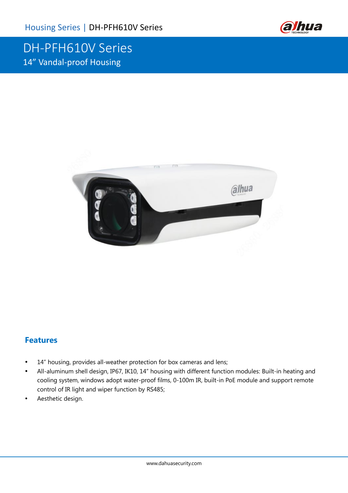

## DH-PFH610V Series 14" Vandal-proof Housing



### **Features**

- 14" housing, provides all-weather protection for box cameras and lens;
- All-aluminum shell design, IP67, IK10, 14" housing with different function modules: Built-in heating and cooling system, windows adopt water-proof films, 0-100m IR, built-in PoE module and support remote control of IR light and wiper function by RS485;
- Aesthetic design.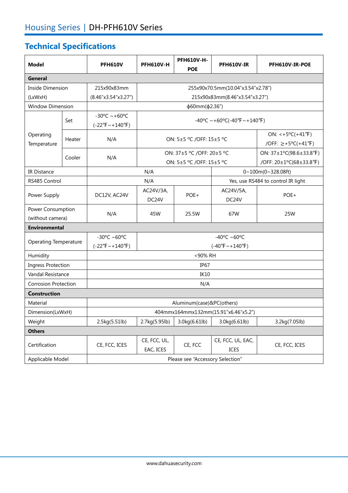# **Technical Specifications**

| <b>Model</b>                          |        | <b>PFH610V</b>                                                 | <b>PFH610V-H</b>                                      | <b>PFH610V-H-</b><br><b>POE</b> | <b>PFH610V-IR</b>                                         | <b>PFH610V-IR-POE</b> |  |
|---------------------------------------|--------|----------------------------------------------------------------|-------------------------------------------------------|---------------------------------|-----------------------------------------------------------|-----------------------|--|
| General                               |        |                                                                |                                                       |                                 |                                                           |                       |  |
| Inside Dimension                      |        | 215x90x83mm                                                    | 255x90x70.5mm(10.04"x3.54"x2.78")                     |                                 |                                                           |                       |  |
| (LxWxH)                               |        | (8.46"x3.54"x3.27")                                            | 215x90x83mm(8.46"x3.54"x3.27")                        |                                 |                                                           |                       |  |
| <b>Window Dimension</b>               |        |                                                                | $\phi$ 60mm( $\phi$ 2.36")                            |                                 |                                                           |                       |  |
| Operating<br>Temperature              | Set    | $-30^{\circ}$ C ~ +60°C<br>$(-22^{\circ}F \sim +140^{\circ}F)$ | $-40^{\circ}$ C ~ +60°C(-40°F ~ +140°F)               |                                 |                                                           |                       |  |
|                                       | Heater | N/A                                                            | ON: 5±5 °C /OFF: 15±5 °C                              |                                 | ON: <+5°C(+41°F)<br>/OFF: $\ge +5^{\circ}C(+41^{\circ}F)$ |                       |  |
|                                       | Cooler | N/A                                                            | ON: 37±5 °C /OFF: 20±5 °C<br>ON: 5±5 °C /OFF: 15±5 °C |                                 | ON: 37±1°C(98.6±33.8°F)<br>/OFF: 20±1°C(68±33.8°F)        |                       |  |
| IR Distance                           |        |                                                                | N/A                                                   |                                 | 0~100m(0~328.08ft)                                        |                       |  |
| RS485 Control                         |        |                                                                | N/A                                                   |                                 | Yes, use RS484 to control IR light                        |                       |  |
| Power Supply                          |        | DC12V, AC24V                                                   | AC24V/3A,<br>DC24V                                    | POE+                            | AC24V/5A,<br>DC <sub>24</sub> V                           | POE+                  |  |
| Power Consumption<br>(without camera) |        | N/A                                                            | 45W                                                   | 25.5W                           | 67W                                                       | 25W                   |  |
| <b>Environmental</b>                  |        |                                                                |                                                       |                                 |                                                           |                       |  |
| <b>Operating Temperature</b>          |        | $-30^{\circ}$ C ~60°C<br>$(-22^{\circ}F \sim +140^{\circ}F)$   | -40°C ~60°C<br>$(-40^{\circ}F \sim +140^{\circ}F)$    |                                 |                                                           |                       |  |
| Humidity                              |        | <90% RH                                                        |                                                       |                                 |                                                           |                       |  |
| <b>Ingress Protection</b>             |        | IP <sub>67</sub>                                               |                                                       |                                 |                                                           |                       |  |
| Vandal Resistance                     |        | <b>IK10</b>                                                    |                                                       |                                 |                                                           |                       |  |
| <b>Corrosion Protection</b>           |        | N/A                                                            |                                                       |                                 |                                                           |                       |  |
| <b>Construction</b>                   |        |                                                                |                                                       |                                 |                                                           |                       |  |
| Material                              |        | Aluminum(case)&PC(others)                                      |                                                       |                                 |                                                           |                       |  |
| Dimension(LxWxH)                      |        | 404mmx164mmx132mm(15.91"x6.46"x5.2")                           |                                                       |                                 |                                                           |                       |  |
| Weight                                |        | 2.5kg(5.51lb)                                                  | 2.7kg(5.95lb)                                         | 3.0kg(6.61lb)                   | 3.0kg(6.61lb)                                             | 3.2kg(7.05lb)         |  |
| <b>Others</b>                         |        |                                                                |                                                       |                                 |                                                           |                       |  |
| Certification                         |        | CE, FCC, ICES                                                  | CE, FCC, UL,<br>EAC, ICES                             | CE, FCC                         | CE, FCC, UL, EAC,<br>ICES                                 | CE, FCC, ICES         |  |
| Applicable Model                      |        | Please see "Accessory Selection"                               |                                                       |                                 |                                                           |                       |  |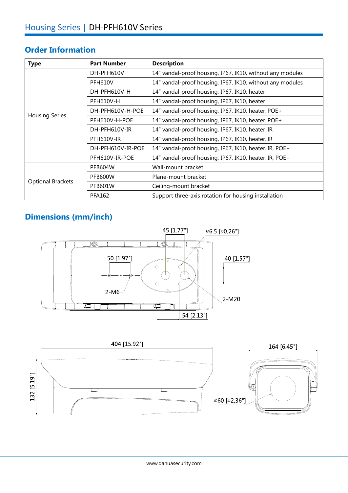### **Order Information**

| <b>Type</b>              | <b>Part Number</b> | <b>Description</b>                                        |  |  |
|--------------------------|--------------------|-----------------------------------------------------------|--|--|
|                          | DH-PFH610V         | 14" vandal-proof housing, IP67, IK10, without any modules |  |  |
|                          | <b>PFH610V</b>     | 14" vandal-proof housing, IP67, IK10, without any modules |  |  |
|                          | DH-PFH610V-H       | 14" vandal-proof housing, IP67, IK10, heater              |  |  |
|                          | <b>PFH610V-H</b>   | 14" vandal-proof housing, IP67, IK10, heater              |  |  |
|                          | DH-PFH610V-H-POE   | 14" vandal-proof housing, IP67, IK10, heater, POE+        |  |  |
| <b>Housing Series</b>    | PFH610V-H-POE      | 14" vandal-proof housing, IP67, IK10, heater, POE+        |  |  |
|                          | DH-PFH610V-IR      | 14" vandal-proof housing, IP67, IK10, heater, IR          |  |  |
|                          | PFH610V-IR         | 14" vandal-proof housing, IP67, IK10, heater, IR          |  |  |
|                          | DH-PFH610V-IR-POE  | 14" vandal-proof housing, IP67, IK10, heater, IR, POE+    |  |  |
|                          | PFH610V-IR-POE     | 14" vandal-proof housing, IP67, IK10, heater, IR, POE+    |  |  |
|                          | <b>PFB604W</b>     | Wall-mount bracket                                        |  |  |
|                          | PFB600W            | Plane-mount bracket                                       |  |  |
| <b>Optional Brackets</b> | <b>PFB601W</b>     | Ceiling-mount bracket                                     |  |  |
|                          | <b>PFA162</b>      | Support three-axis rotation for housing installation      |  |  |

## **Dimensions (mm/inch)**